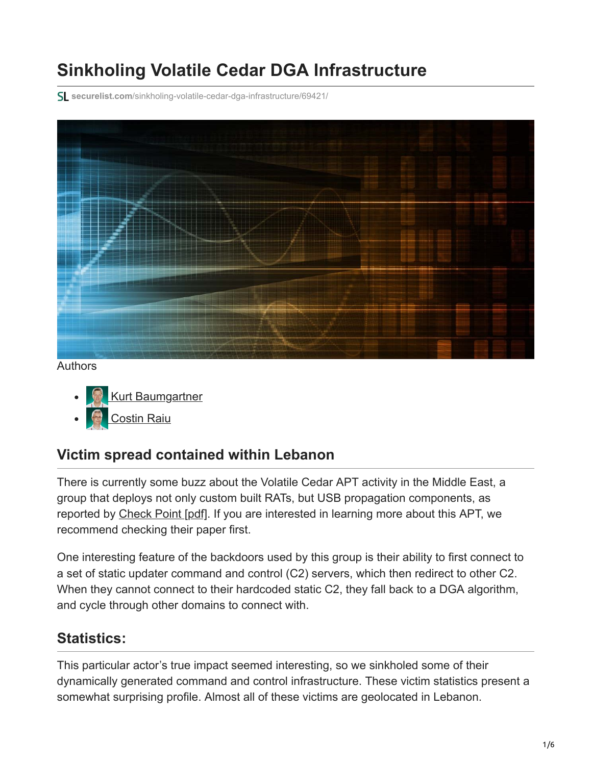# **Sinkholing Volatile Cedar DGA Infrastructure**

**securelist.com**[/sinkholing-volatile-cedar-dga-infrastructure/69421/](https://securelist.com/sinkholing-volatile-cedar-dga-infrastructure/69421/)



Authors

- **[Kurt Baumgartner](https://securelist.com/author/kurtb/)**
- [Costin Raiu](https://securelist.com/author/costin/)

## **Victim spread contained within Lebanon**

There is currently some buzz about the Volatile Cedar APT activity in the Middle East, a group that deploys not only custom built RATs, but USB propagation components, as reported by [Check Point \[pdf\]](https://media.kasperskycontenthub.com/wp-content/uploads/sites/43/2015/03/20082004/volatile-cedar-technical-report.pdf). If you are interested in learning more about this APT, we recommend checking their paper first.

One interesting feature of the backdoors used by this group is their ability to first connect to a set of static updater command and control (C2) servers, which then redirect to other C2. When they cannot connect to their hardcoded static C2, they fall back to a DGA algorithm, and cycle through other domains to connect with.

## **Statistics:**

This particular actor's true impact seemed interesting, so we sinkholed some of their dynamically generated command and control infrastructure. These victim statistics present a somewhat surprising profile. Almost all of these victims are geolocated in Lebanon.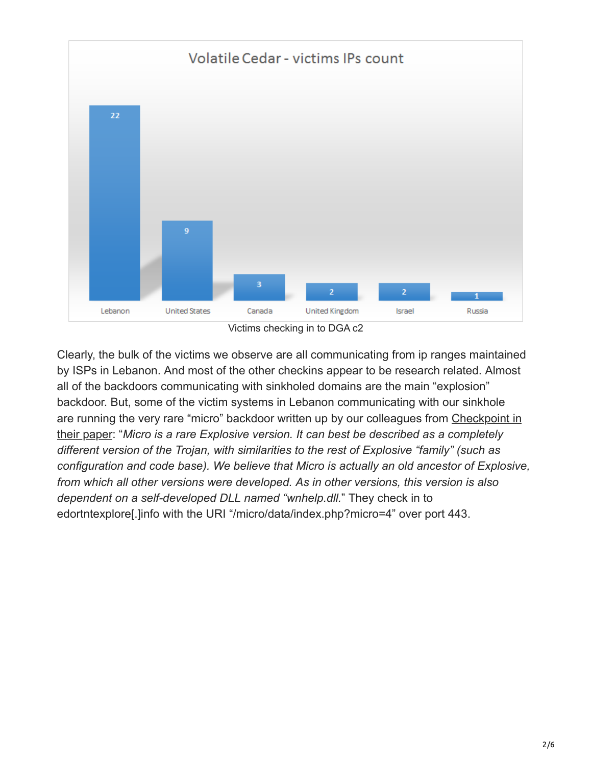

Clearly, the bulk of the victims we observe are all communicating from ip ranges maintained by ISPs in Lebanon. And most of the other checkins appear to be research related. Almost all of the backdoors communicating with sinkholed domains are the main "explosion" backdoor. But, some of the victim systems in Lebanon communicating with our sinkhole [are running the very rare "micro" backdoor written up by our colleagues from Checkpoint in](https://media.kasperskycontenthub.com/wp-content/uploads/sites/43/2015/03/20082010/volatile-cedar-technical-report-1.pdf) their paper: "*Micro is a rare Explosive version. It can best be described as a completely different version of the Trojan, with similarities to the rest of Explosive "family" (such as configuration and code base). We believe that Micro is actually an old ancestor of Explosive, from which all other versions were developed. As in other versions, this version is also dependent on a self-developed DLL named "wnhelp.dll.*" They check in to edortntexplore[.]info with the URI "/micro/data/index.php?micro=4" over port 443.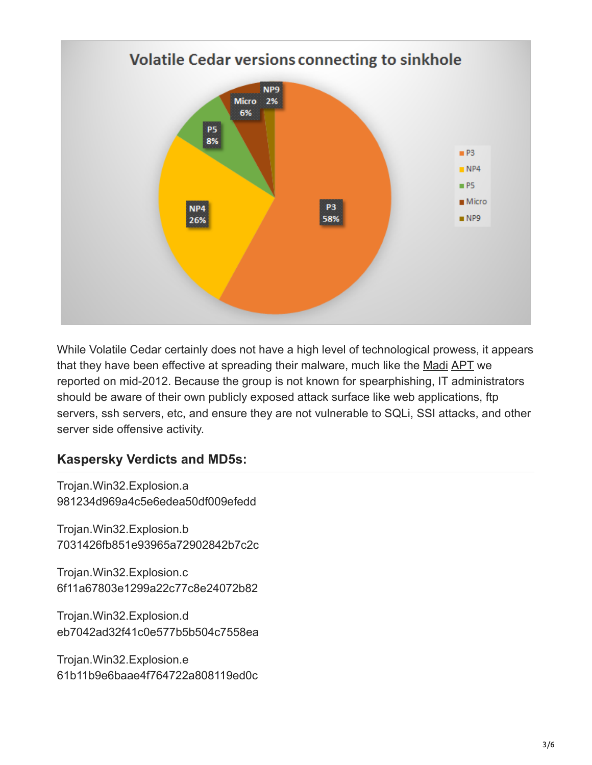

While Volatile Cedar certainly does not have a high level of technological prowess, it appears that they have been effective at spreading their malware, much like the [Madi](https://securelist.com/the-madi-campaign-part-i-5/33693/) [APT](https://securelist.com/the-madi-campaign-part-ii/33701/) we reported on mid-2012. Because the group is not known for spearphishing, IT administrators should be aware of their own publicly exposed attack surface like web applications, ftp servers, ssh servers, etc, and ensure they are not vulnerable to SQLi, SSI attacks, and other server side offensive activity.

#### **Kaspersky Verdicts and MD5s:**

Trojan.Win32.Explosion.a 981234d969a4c5e6edea50df009efedd

Trojan.Win32.Explosion.b 7031426fb851e93965a72902842b7c2c

Trojan.Win32.Explosion.c 6f11a67803e1299a22c77c8e24072b82

Trojan.Win32.Explosion.d eb7042ad32f41c0e577b5b504c7558ea

Trojan.Win32.Explosion.e 61b11b9e6baae4f764722a808119ed0c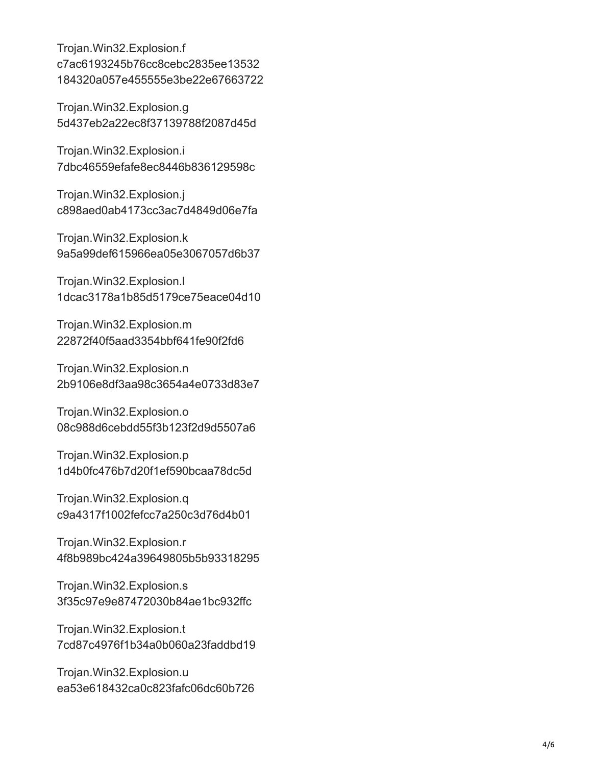Trojan.Win32.Explosion.f c7ac6193245b76cc8cebc2835ee13532 184320a057e455555e3be22e67663722

Trojan.Win32.Explosion.g 5d437eb2a22ec8f37139788f2087d45d

Trojan.Win32.Explosion.i 7dbc46559efafe8ec8446b836129598c

Trojan.Win32.Explosion.j c898aed0ab4173cc3ac7d4849d06e7fa

Trojan.Win32.Explosion.k 9a5a99def615966ea05e3067057d6b37

Trojan.Win32.Explosion.l 1dcac3178a1b85d5179ce75eace04d10

Trojan.Win32.Explosion.m 22872f40f5aad3354bbf641fe90f2fd6

Trojan.Win32.Explosion.n 2b9106e8df3aa98c3654a4e0733d83e7

Trojan.Win32.Explosion.o 08c988d6cebdd55f3b123f2d9d5507a6

Trojan.Win32.Explosion.p 1d4b0fc476b7d20f1ef590bcaa78dc5d

Trojan.Win32.Explosion.q c9a4317f1002fefcc7a250c3d76d4b01

Trojan.Win32.Explosion.r 4f8b989bc424a39649805b5b93318295

Trojan.Win32.Explosion.s 3f35c97e9e87472030b84ae1bc932ffc

Trojan.Win32.Explosion.t 7cd87c4976f1b34a0b060a23faddbd19

Trojan.Win32.Explosion.u ea53e618432ca0c823fafc06dc60b726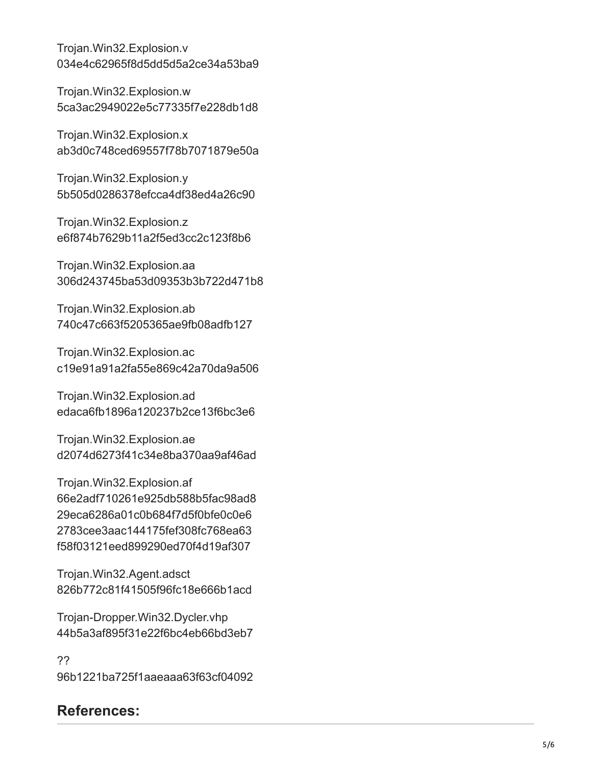Trojan.Win32.Explosion.v 034e4c62965f8d5dd5d5a2ce34a53ba9

Trojan.Win32.Explosion.w 5ca3ac2949022e5c77335f7e228db1d8

Trojan.Win32.Explosion.x ab3d0c748ced69557f78b7071879e50a

Trojan.Win32.Explosion.y 5b505d0286378efcca4df38ed4a26c90

Trojan.Win32.Explosion.z e6f874b7629b11a2f5ed3cc2c123f8b6

Trojan.Win32.Explosion.aa 306d243745ba53d09353b3b722d471b8

Trojan.Win32.Explosion.ab 740c47c663f5205365ae9fb08adfb127

Trojan.Win32.Explosion.ac c19e91a91a2fa55e869c42a70da9a506

Trojan.Win32.Explosion.ad edaca6fb1896a120237b2ce13f6bc3e6

Trojan.Win32.Explosion.ae d2074d6273f41c34e8ba370aa9af46ad

Trojan.Win32.Explosion.af 66e2adf710261e925db588b5fac98ad8 29eca6286a01c0b684f7d5f0bfe0c0e6 2783cee3aac144175fef308fc768ea63 f58f03121eed899290ed70f4d19af307

Trojan.Win32.Agent.adsct 826b772c81f41505f96fc18e666b1acd

Trojan-Dropper.Win32.Dycler.vhp 44b5a3af895f31e22f6bc4eb66bd3eb7

?? 96b1221ba725f1aaeaaa63f63cf04092

### **References:**